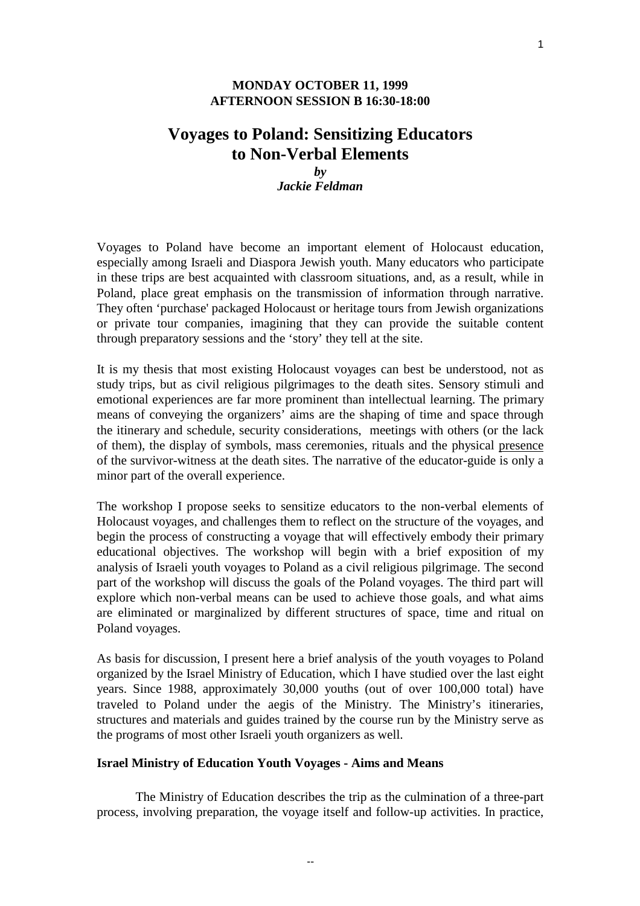## **MONDAY OCTOBER 11, 1999 AFTERNOON SESSION B 16:30-18:00**

# **Voyages to Poland: Sensitizing Educators to Non-Verbal Elements**

# *by Jackie Feldman*

Voyages to Poland have become an important element of Holocaust education, especially among Israeli and Diaspora Jewish youth. Many educators who participate in these trips are best acquainted with classroom situations, and, as a result, while in Poland, place great emphasis on the transmission of information through narrative. They often 'purchase' packaged Holocaust or heritage tours from Jewish organizations or private tour companies, imagining that they can provide the suitable content through preparatory sessions and the 'story' they tell at the site.

It is my thesis that most existing Holocaust voyages can best be understood, not as study trips, but as civil religious pilgrimages to the death sites. Sensory stimuli and emotional experiences are far more prominent than intellectual learning. The primary means of conveying the organizers' aims are the shaping of time and space through the itinerary and schedule, security considerations, meetings with others (or the lack of them), the display of symbols, mass ceremonies, rituals and the physical presence of the survivor-witness at the death sites. The narrative of the educator-guide is only a minor part of the overall experience.

The workshop I propose seeks to sensitize educators to the non-verbal elements of Holocaust voyages, and challenges them to reflect on the structure of the voyages, and begin the process of constructing a voyage that will effectively embody their primary educational objectives. The workshop will begin with a brief exposition of my analysis of Israeli youth voyages to Poland as a civil religious pilgrimage. The second part of the workshop will discuss the goals of the Poland voyages. The third part will explore which non-verbal means can be used to achieve those goals, and what aims are eliminated or marginalized by different structures of space, time and ritual on Poland voyages.

As basis for discussion, I present here a brief analysis of the youth voyages to Poland organized by the Israel Ministry of Education, which I have studied over the last eight years. Since 1988, approximately 30,000 youths (out of over 100,000 total) have traveled to Poland under the aegis of the Ministry. The Ministry's itineraries, structures and materials and guides trained by the course run by the Ministry serve as the programs of most other Israeli youth organizers as well.

### **Israel Ministry of Education Youth Voyages - Aims and Means**

The Ministry of Education describes the trip as the culmination of a three-part process, involving preparation, the voyage itself and follow-up activities. In practice,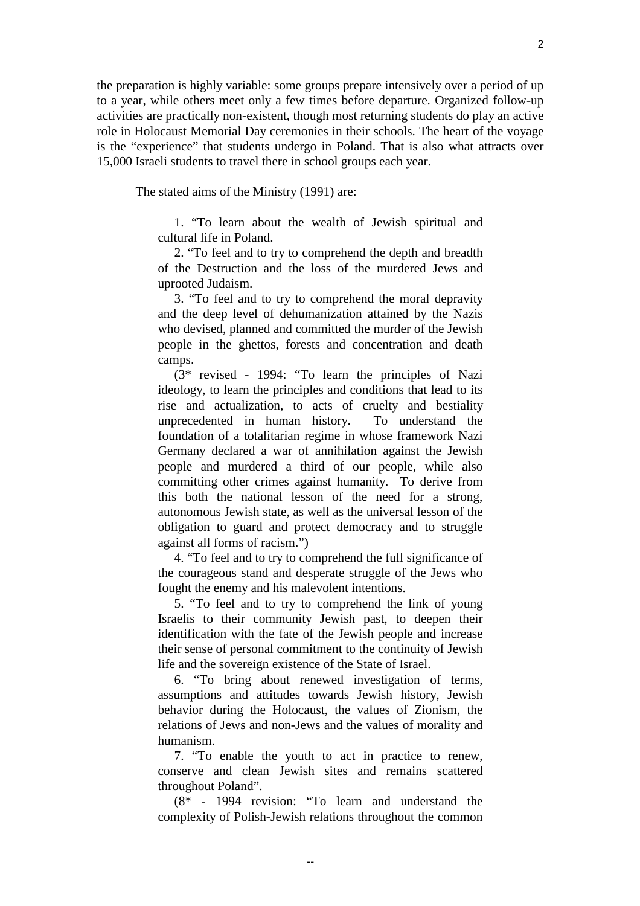the preparation is highly variable: some groups prepare intensively over a period of up to a year, while others meet only a few times before departure. Organized follow-up activities are practically non-existent, though most returning students do play an active role in Holocaust Memorial Day ceremonies in their schools. The heart of the voyage is the "experience" that students undergo in Poland. That is also what attracts over 15,000 Israeli students to travel there in school groups each year.

The stated aims of the Ministry (1991) are:

1. "To learn about the wealth of Jewish spiritual and cultural life in Poland.

2. "To feel and to try to comprehend the depth and breadth of the Destruction and the loss of the murdered Jews and uprooted Judaism.

3. "To feel and to try to comprehend the moral depravity and the deep level of dehumanization attained by the Nazis who devised, planned and committed the murder of the Jewish people in the ghettos, forests and concentration and death camps.

(3\* revised - 1994: "To learn the principles of Nazi ideology, to learn the principles and conditions that lead to its rise and actualization, to acts of cruelty and bestiality unprecedented in human history. To understand the foundation of a totalitarian regime in whose framework Nazi Germany declared a war of annihilation against the Jewish people and murdered a third of our people, while also committing other crimes against humanity. To derive from this both the national lesson of the need for a strong, autonomous Jewish state, as well as the universal lesson of the obligation to guard and protect democracy and to struggle against all forms of racism.")

4. "To feel and to try to comprehend the full significance of the courageous stand and desperate struggle of the Jews who fought the enemy and his malevolent intentions.

5. "To feel and to try to comprehend the link of young Israelis to their community Jewish past, to deepen their identification with the fate of the Jewish people and increase their sense of personal commitment to the continuity of Jewish life and the sovereign existence of the State of Israel.

6. "To bring about renewed investigation of terms, assumptions and attitudes towards Jewish history, Jewish behavior during the Holocaust, the values of Zionism, the relations of Jews and non-Jews and the values of morality and humanism.

7. "To enable the youth to act in practice to renew, conserve and clean Jewish sites and remains scattered throughout Poland".

(8\* - 1994 revision: "To learn and understand the complexity of Polish-Jewish relations throughout the common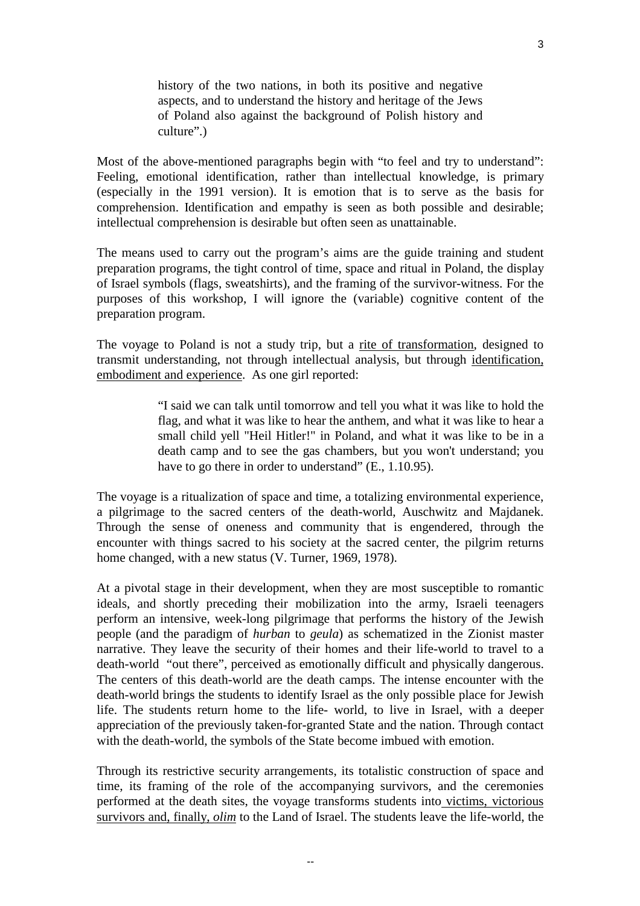history of the two nations, in both its positive and negative aspects, and to understand the history and heritage of the Jews of Poland also against the background of Polish history and culture".)

Most of the above-mentioned paragraphs begin with "to feel and try to understand": Feeling, emotional identification, rather than intellectual knowledge, is primary (especially in the 1991 version). It is emotion that is to serve as the basis for comprehension. Identification and empathy is seen as both possible and desirable; intellectual comprehension is desirable but often seen as unattainable.

The means used to carry out the program's aims are the guide training and student preparation programs, the tight control of time, space and ritual in Poland, the display of Israel symbols (flags, sweatshirts), and the framing of the survivor-witness. For the purposes of this workshop, I will ignore the (variable) cognitive content of the preparation program.

The voyage to Poland is not a study trip, but a rite of transformation, designed to transmit understanding, not through intellectual analysis, but through identification, embodiment and experience. As one girl reported:

> "I said we can talk until tomorrow and tell you what it was like to hold the flag, and what it was like to hear the anthem, and what it was like to hear a small child yell "Heil Hitler!" in Poland, and what it was like to be in a death camp and to see the gas chambers, but you won't understand; you have to go there in order to understand" (E., 1.10.95).

The voyage is a ritualization of space and time, a totalizing environmental experience, a pilgrimage to the sacred centers of the death-world, Auschwitz and Majdanek. Through the sense of oneness and community that is engendered, through the encounter with things sacred to his society at the sacred center, the pilgrim returns home changed, with a new status (V. Turner, 1969, 1978).

At a pivotal stage in their development, when they are most susceptible to romantic ideals, and shortly preceding their mobilization into the army, Israeli teenagers perform an intensive, week-long pilgrimage that performs the history of the Jewish people (and the paradigm of *hurban* to *geula*) as schematized in the Zionist master narrative. They leave the security of their homes and their life-world to travel to a death-world "out there", perceived as emotionally difficult and physically dangerous. The centers of this death-world are the death camps. The intense encounter with the death-world brings the students to identify Israel as the only possible place for Jewish life. The students return home to the life- world, to live in Israel, with a deeper appreciation of the previously taken-for-granted State and the nation. Through contact with the death-world, the symbols of the State become imbued with emotion.

Through its restrictive security arrangements, its totalistic construction of space and time, its framing of the role of the accompanying survivors, and the ceremonies performed at the death sites, the voyage transforms students into victims, victorious survivors and, finally, *olim* to the Land of Israel. The students leave the life-world, the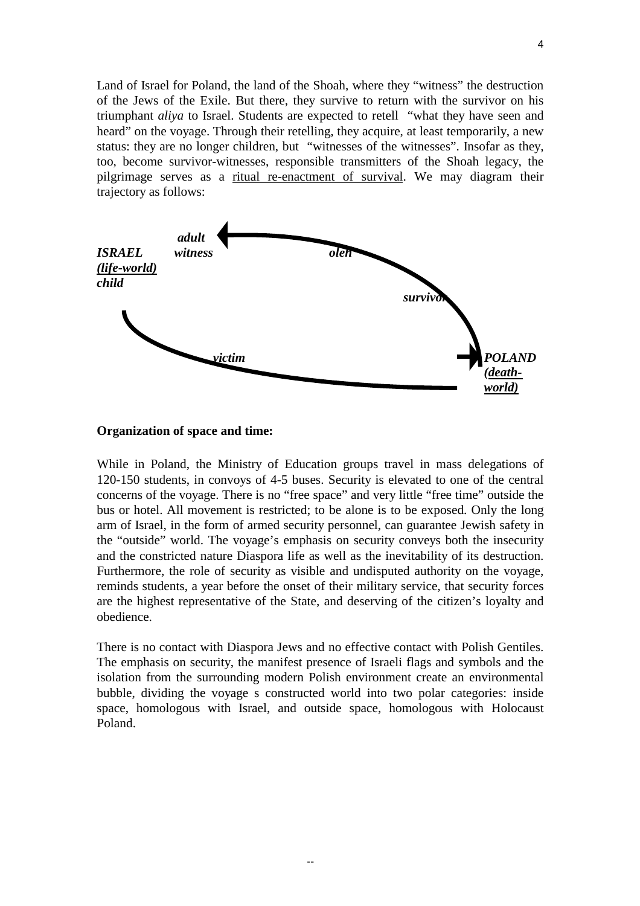Land of Israel for Poland, the land of the Shoah, where they "witness" the destruction of the Jews of the Exile. But there, they survive to return with the survivor on his triumphant *aliya* to Israel. Students are expected to retell "what they have seen and heard" on the voyage. Through their retelling, they acquire, at least temporarily, a new status: they are no longer children, but "witnesses of the witnesses". Insofar as they, too, become survivor-witnesses, responsible transmitters of the Shoah legacy, the pilgrimage serves as a ritual re-enactment of survival. We may diagram their trajectory as follows:



#### **Organization of space and time:**

While in Poland, the Ministry of Education groups travel in mass delegations of 120-150 students, in convoys of 4-5 buses. Security is elevated to one of the central concerns of the voyage. There is no "free space" and very little "free time" outside the bus or hotel. All movement is restricted; to be alone is to be exposed. Only the long arm of Israel, in the form of armed security personnel, can guarantee Jewish safety in the "outside" world. The voyage's emphasis on security conveys both the insecurity and the constricted nature Diaspora life as well as the inevitability of its destruction. Furthermore, the role of security as visible and undisputed authority on the voyage, reminds students, a year before the onset of their military service, that security forces are the highest representative of the State, and deserving of the citizen's loyalty and obedience.

There is no contact with Diaspora Jews and no effective contact with Polish Gentiles. The emphasis on security, the manifest presence of Israeli flags and symbols and the isolation from the surrounding modern Polish environment create an environmental bubble, dividing the voyage s constructed world into two polar categories: inside space, homologous with Israel, and outside space, homologous with Holocaust Poland.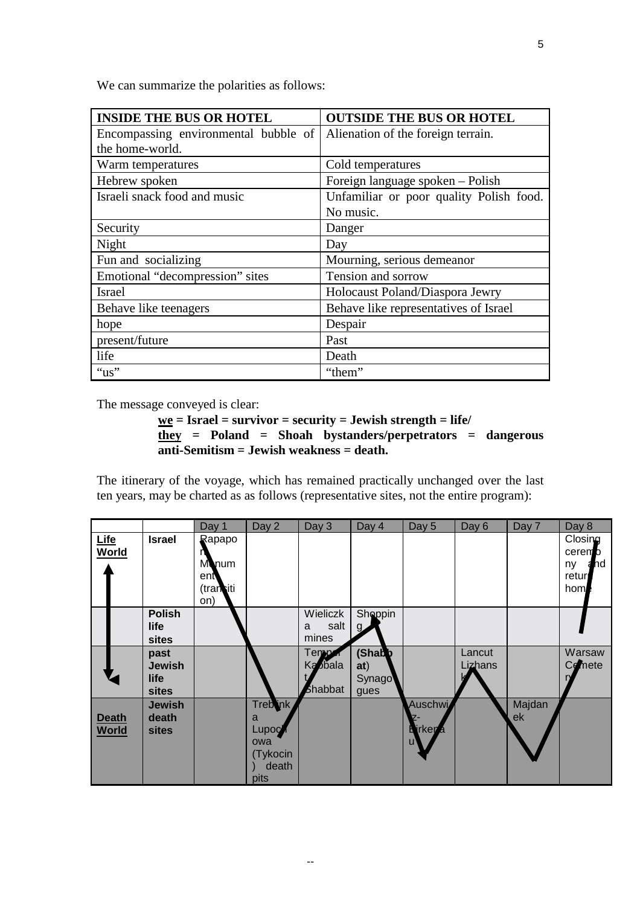| <b>INSIDE THE BUS OR HOTEL</b>       | <b>OUTSIDE THE BUS OR HOTEL</b>         |  |  |  |  |
|--------------------------------------|-----------------------------------------|--|--|--|--|
| Encompassing environmental bubble of | Alienation of the foreign terrain.      |  |  |  |  |
| the home-world.                      |                                         |  |  |  |  |
| Warm temperatures                    | Cold temperatures                       |  |  |  |  |
| Hebrew spoken                        | Foreign language spoken - Polish        |  |  |  |  |
| Israeli snack food and music         | Unfamiliar or poor quality Polish food. |  |  |  |  |
|                                      | No music.                               |  |  |  |  |
| Security                             | Danger                                  |  |  |  |  |
| Night                                | Day                                     |  |  |  |  |
| Fun and socializing                  | Mourning, serious demeanor              |  |  |  |  |
| Emotional "decompression" sites      | Tension and sorrow                      |  |  |  |  |
| <b>Israel</b>                        | Holocaust Poland/Diaspora Jewry         |  |  |  |  |
| Behave like teenagers                | Behave like representatives of Israel   |  |  |  |  |
| hope                                 | Despair                                 |  |  |  |  |
| present/future                       | Past                                    |  |  |  |  |
| life                                 | Death                                   |  |  |  |  |
| " $us$ "                             | "them"                                  |  |  |  |  |

The message conveyed is clear:

```
we = Israel = survivor = security = Jewish strength = life/
they = Poland = Shoah bystanders/perpetrators = dangerous
anti-Semitism = Jewish weakness = death.
```
The itinerary of the voyage, which has remained practically unchanged over the last ten years, may be charted as as follows (representative sites, not the entire program):

|                              |                                               | Day 1                                             | Day 2                                                      | Day 3                               | Day 4                                   | Day 5                                        | Day 6             | Day 7        | Day 8                                         |
|------------------------------|-----------------------------------------------|---------------------------------------------------|------------------------------------------------------------|-------------------------------------|-----------------------------------------|----------------------------------------------|-------------------|--------------|-----------------------------------------------|
| Life<br><b>World</b>         | <b>Israel</b>                                 | Rapapo<br><b>Monum</b><br>ent<br>(tranciti<br>on) |                                                            |                                     |                                         |                                              |                   |              | Closing<br>ceremo<br>hd<br>ny<br>retur<br>hom |
|                              | <b>Polish</b><br>life<br><b>sites</b>         |                                                   |                                                            | Wieliczk<br>salt<br>a<br>mines      | Shoppin<br>$\mathbf{q}$                 |                                              |                   |              |                                               |
|                              | past<br><b>Jewish</b><br>life<br><b>sites</b> |                                                   |                                                            | Temp <i>o</i><br>Ka bala<br>Shabbat | (Shab <b>b</b><br>at)<br>Synago<br>gues |                                              | Lancut<br>Lizhans |              | Warsaw<br>Comete                              |
| <b>Death</b><br><b>World</b> | <b>Jewish</b><br>death<br><b>sites</b>        |                                                   | Trebink<br>a<br>Lupoch<br>owa<br>(Tykocin<br>death<br>pits |                                     |                                         | Auschwi<br><b>L</b> irker <sub>d</sub><br>U' |                   | Majdan<br>ek |                                               |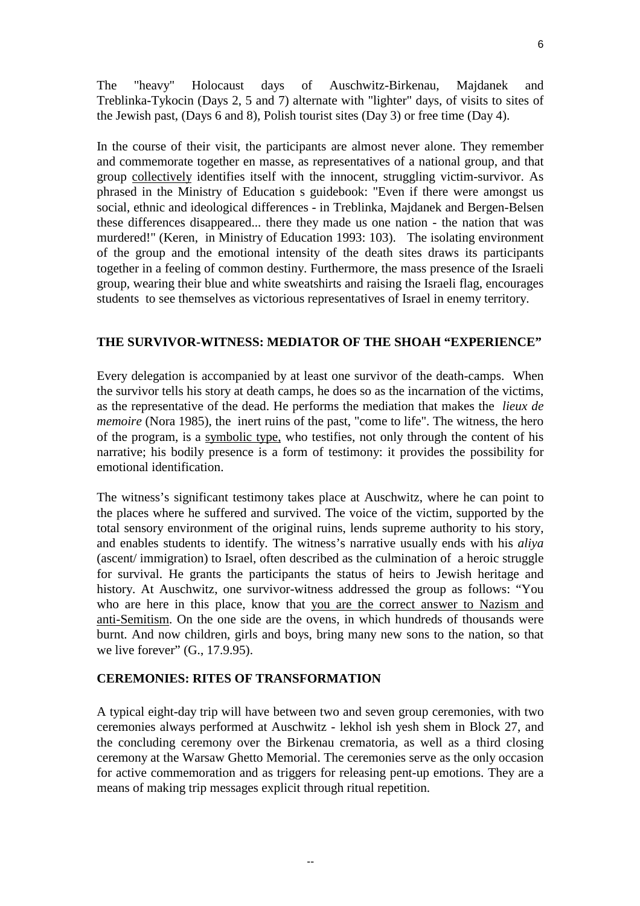The "heavy" Holocaust days of Auschwitz-Birkenau, Majdanek and Treblinka-Tykocin (Days 2, 5 and 7) alternate with "lighter" days, of visits to sites of the Jewish past, (Days 6 and 8), Polish tourist sites (Day 3) or free time (Day 4).

In the course of their visit, the participants are almost never alone. They remember and commemorate together en masse, as representatives of a national group, and that group collectively identifies itself with the innocent, struggling victim-survivor. As phrased in the Ministry of Education s guidebook: "Even if there were amongst us social, ethnic and ideological differences - in Treblinka, Majdanek and Bergen-Belsen these differences disappeared... there they made us one nation - the nation that was murdered!" (Keren, in Ministry of Education 1993: 103). The isolating environment of the group and the emotional intensity of the death sites draws its participants together in a feeling of common destiny. Furthermore, the mass presence of the Israeli group, wearing their blue and white sweatshirts and raising the Israeli flag, encourages students to see themselves as victorious representatives of Israel in enemy territory.

# **THE SURVIVOR-WITNESS: MEDIATOR OF THE SHOAH "EXPERIENCE"**

Every delegation is accompanied by at least one survivor of the death-camps. When the survivor tells his story at death camps, he does so as the incarnation of the victims, as the representative of the dead. He performs the mediation that makes the *lieux de memoire* (Nora 1985), the inert ruins of the past, "come to life". The witness, the hero of the program, is a symbolic type, who testifies, not only through the content of his narrative; his bodily presence is a form of testimony: it provides the possibility for emotional identification.

The witness's significant testimony takes place at Auschwitz, where he can point to the places where he suffered and survived. The voice of the victim, supported by the total sensory environment of the original ruins, lends supreme authority to his story, and enables students to identify. The witness's narrative usually ends with his *aliya* (ascent/ immigration) to Israel, often described as the culmination of a heroic struggle for survival. He grants the participants the status of heirs to Jewish heritage and history. At Auschwitz, one survivor-witness addressed the group as follows: "You who are here in this place, know that you are the correct answer to Nazism and anti-Semitism. On the one side are the ovens, in which hundreds of thousands were burnt. And now children, girls and boys, bring many new sons to the nation, so that we live forever" (G., 17.9.95).

## **CEREMONIES: RITES OF TRANSFORMATION**

A typical eight-day trip will have between two and seven group ceremonies, with two ceremonies always performed at Auschwitz - lekhol ish yesh shem in Block 27, and the concluding ceremony over the Birkenau crematoria, as well as a third closing ceremony at the Warsaw Ghetto Memorial. The ceremonies serve as the only occasion for active commemoration and as triggers for releasing pent-up emotions. They are a means of making trip messages explicit through ritual repetition.